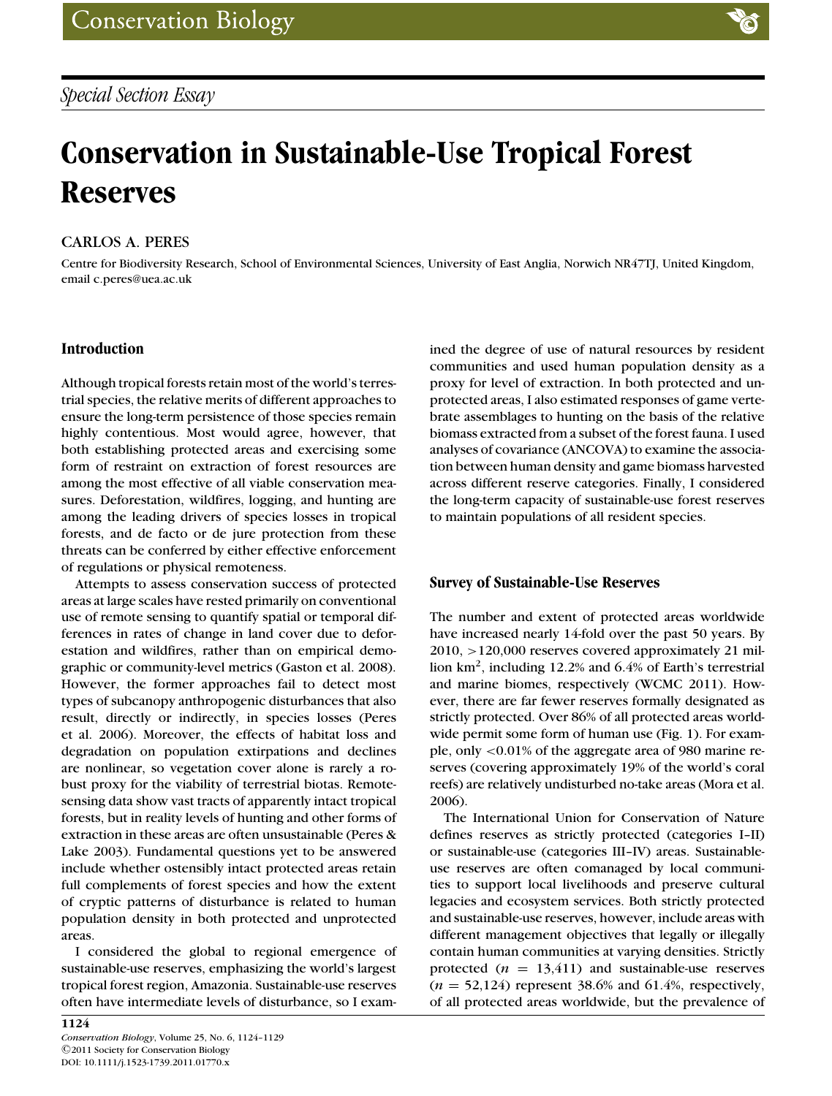# **Conservation in Sustainable-Use Tropical Forest Reserves**

## CARLOS A. PERES

Centre for Biodiversity Research, School of Environmental Sciences, University of East Anglia, Norwich NR47TJ, United Kingdom, email c.peres@uea.ac.uk

## **Introduction**

Although tropical forests retain most of the world's terrestrial species, the relative merits of different approaches to ensure the long-term persistence of those species remain highly contentious. Most would agree, however, that both establishing protected areas and exercising some form of restraint on extraction of forest resources are among the most effective of all viable conservation measures. Deforestation, wildfires, logging, and hunting are among the leading drivers of species losses in tropical forests, and de facto or de jure protection from these threats can be conferred by either effective enforcement of regulations or physical remoteness.

Attempts to assess conservation success of protected areas at large scales have rested primarily on conventional use of remote sensing to quantify spatial or temporal differences in rates of change in land cover due to deforestation and wildfires, rather than on empirical demographic or community-level metrics (Gaston et al. 2008). However, the former approaches fail to detect most types of subcanopy anthropogenic disturbances that also result, directly or indirectly, in species losses (Peres et al. 2006). Moreover, the effects of habitat loss and degradation on population extirpations and declines are nonlinear, so vegetation cover alone is rarely a robust proxy for the viability of terrestrial biotas. Remotesensing data show vast tracts of apparently intact tropical forests, but in reality levels of hunting and other forms of extraction in these areas are often unsustainable (Peres & Lake 2003). Fundamental questions yet to be answered include whether ostensibly intact protected areas retain full complements of forest species and how the extent of cryptic patterns of disturbance is related to human population density in both protected and unprotected areas.

I considered the global to regional emergence of sustainable-use reserves, emphasizing the world's largest tropical forest region, Amazonia. Sustainable-use reserves often have intermediate levels of disturbance, so I examined the degree of use of natural resources by resident communities and used human population density as a proxy for level of extraction. In both protected and unprotected areas, I also estimated responses of game vertebrate assemblages to hunting on the basis of the relative biomass extracted from a subset of the forest fauna. I used analyses of covariance (ANCOVA) to examine the association between human density and game biomass harvested across different reserve categories. Finally, I considered the long-term capacity of sustainable-use forest reserves to maintain populations of all resident species.

### **Survey of Sustainable-Use Reserves**

The number and extent of protected areas worldwide have increased nearly 14-fold over the past 50 years. By 2010, >120,000 reserves covered approximately 21 million  $km^2$ , including 12.2% and 6.4% of Earth's terrestrial and marine biomes, respectively (WCMC 2011). However, there are far fewer reserves formally designated as strictly protected. Over 86% of all protected areas worldwide permit some form of human use (Fig. 1). For example, only <0.01% of the aggregate area of 980 marine reserves (covering approximately 19% of the world's coral reefs) are relatively undisturbed no-take areas (Mora et al. 2006).

The International Union for Conservation of Nature defines reserves as strictly protected (categories I–II) or sustainable-use (categories III–IV) areas. Sustainableuse reserves are often comanaged by local communities to support local livelihoods and preserve cultural legacies and ecosystem services. Both strictly protected and sustainable-use reserves, however, include areas with different management objectives that legally or illegally contain human communities at varying densities. Strictly protected  $(n = 13, 411)$  and sustainable-use reserves  $(n = 52,124)$  represent 38.6% and 61.4%, respectively, of all protected areas worldwide, but the prevalence of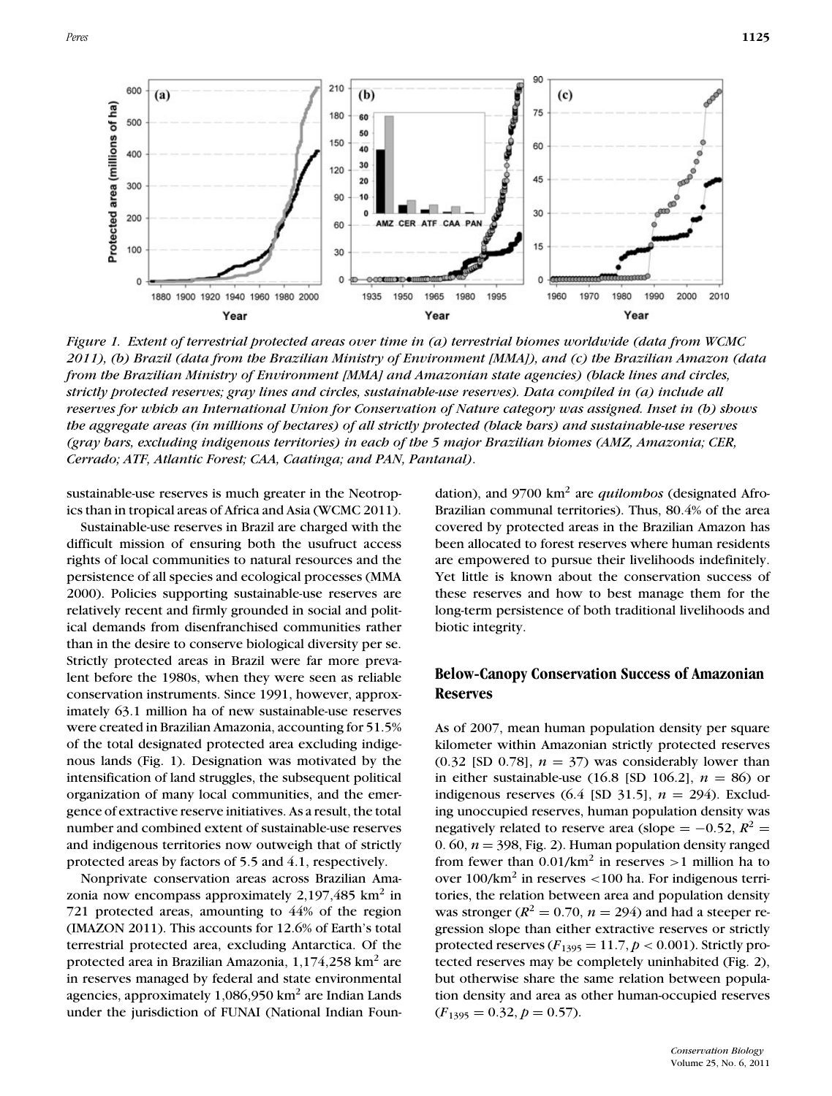

*Figure 1. Extent of terrestrial protected areas over time in (a) terrestrial biomes worldwide (data from WCMC 2011), (b) Brazil (data from the Brazilian Ministry of Environment [MMA]), and (c) the Brazilian Amazon (data from the Brazilian Ministry of Environment [MMA] and Amazonian state agencies) (black lines and circles, strictly protected reserves; gray lines and circles, sustainable-use reserves). Data compiled in (a) include all reserves for which an International Union for Conservation of Nature category was assigned. Inset in (b) shows the aggregate areas (in millions of hectares) of all strictly protected (black bars) and sustainable-use reserves (gray bars, excluding indigenous territories) in each of the 5 major Brazilian biomes (AMZ, Amazonia; CER, Cerrado; ATF, Atlantic Forest; CAA, Caatinga; and PAN, Pantanal)*.

sustainable-use reserves is much greater in the Neotropics than in tropical areas of Africa and Asia (WCMC 2011).

Sustainable-use reserves in Brazil are charged with the difficult mission of ensuring both the usufruct access rights of local communities to natural resources and the persistence of all species and ecological processes (MMA 2000). Policies supporting sustainable-use reserves are relatively recent and firmly grounded in social and political demands from disenfranchised communities rather than in the desire to conserve biological diversity per se. Strictly protected areas in Brazil were far more prevalent before the 1980s, when they were seen as reliable conservation instruments. Since 1991, however, approximately 63.1 million ha of new sustainable-use reserves were created in Brazilian Amazonia, accounting for 51.5% of the total designated protected area excluding indigenous lands (Fig. 1). Designation was motivated by the intensification of land struggles, the subsequent political organization of many local communities, and the emergence of extractive reserve initiatives. As a result, the total number and combined extent of sustainable-use reserves and indigenous territories now outweigh that of strictly protected areas by factors of 5.5 and 4.1, respectively.

Nonprivate conservation areas across Brazilian Amazonia now encompass approximately  $2,197,485$  km<sup>2</sup> in 721 protected areas, amounting to 44% of the region (IMAZON 2011). This accounts for 12.6% of Earth's total terrestrial protected area, excluding Antarctica. Of the protected area in Brazilian Amazonia, 1,174,258 km<sup>2</sup> are in reserves managed by federal and state environmental agencies, approximately  $1,086,950$  km<sup>2</sup> are Indian Lands under the jurisdiction of FUNAI (National Indian Foundation), and 9700 km2 are *quilombos* (designated Afro-Brazilian communal territories). Thus, 80.4% of the area covered by protected areas in the Brazilian Amazon has been allocated to forest reserves where human residents are empowered to pursue their livelihoods indefinitely. Yet little is known about the conservation success of these reserves and how to best manage them for the long-term persistence of both traditional livelihoods and biotic integrity.

## **Below-Canopy Conservation Success of Amazonian Reserves**

As of 2007, mean human population density per square kilometer within Amazonian strictly protected reserves  $(0.32$  [SD 0.78],  $n = 37$ ) was considerably lower than in either sustainable-use (16.8 [SD 106.2],  $n = 86$ ) or indigenous reserves  $(6.4$  [SD 31.5],  $n = 294$ ). Excluding unoccupied reserves, human population density was negatively related to reserve area (slope =  $-0.52$ ,  $R^2$  = 0.  $60$ ,  $n = 398$ , Fig. 2). Human population density ranged from fewer than  $0.01/km^2$  in reserves >1 million ha to over  $100/km^2$  in reserves <100 ha. For indigenous territories, the relation between area and population density was stronger ( $R^2 = 0.70$ ,  $n = 294$ ) and had a steeper regression slope than either extractive reserves or strictly protected reserves  $(F_{1395} = 11.7, p < 0.001)$ . Strictly protected reserves may be completely uninhabited (Fig. 2), but otherwise share the same relation between population density and area as other human-occupied reserves  $(F_{1395} = 0.32, p = 0.57).$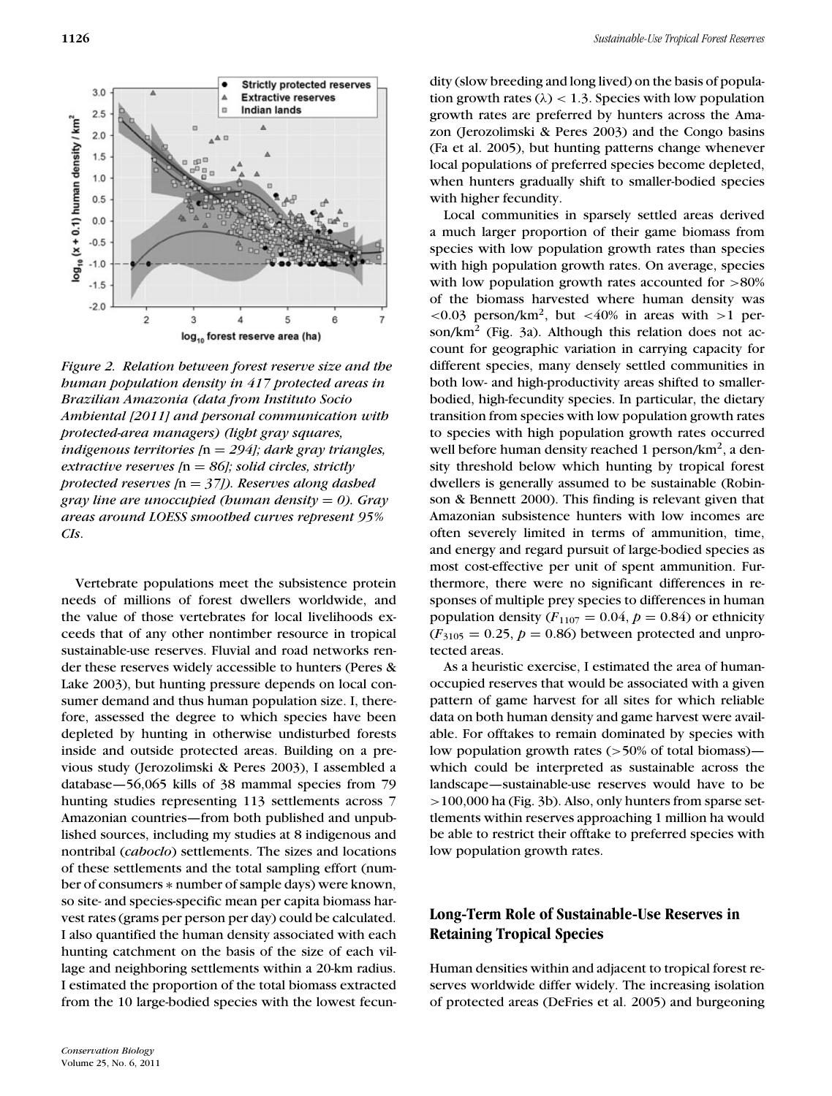

*Figure 2. Relation between forest reserve size and the human population density in 417 protected areas in Brazilian Amazonia (data from Instituto Socio Ambiental [2011] and personal communication with protected-area managers) (light gray squares, indigenous territories [*n = *294]; dark gray triangles, extractive reserves [*n = *86]; solid circles, strictly protected reserves [*n = *37]). Reserves along dashed gray line are unoccupied (human density* = *0). Gray areas around LOESS smoothed curves represent 95% CIs*.

Vertebrate populations meet the subsistence protein needs of millions of forest dwellers worldwide, and the value of those vertebrates for local livelihoods exceeds that of any other nontimber resource in tropical sustainable-use reserves. Fluvial and road networks render these reserves widely accessible to hunters (Peres & Lake 2003), but hunting pressure depends on local consumer demand and thus human population size. I, therefore, assessed the degree to which species have been depleted by hunting in otherwise undisturbed forests inside and outside protected areas. Building on a previous study (Jerozolimski & Peres 2003), I assembled a database—56,065 kills of 38 mammal species from 79 hunting studies representing 113 settlements across 7 Amazonian countries—from both published and unpublished sources, including my studies at 8 indigenous and nontribal (*caboclo*) settlements. The sizes and locations of these settlements and the total sampling effort (number of consumers ∗ number of sample days) were known, so site- and species-specific mean per capita biomass harvest rates (grams per person per day) could be calculated. I also quantified the human density associated with each hunting catchment on the basis of the size of each village and neighboring settlements within a 20-km radius. I estimated the proportion of the total biomass extracted from the 10 large-bodied species with the lowest fecundity (slow breeding and long lived) on the basis of population growth rates  $(\lambda) < 1.3$ . Species with low population growth rates are preferred by hunters across the Amazon (Jerozolimski & Peres 2003) and the Congo basins (Fa et al. 2005), but hunting patterns change whenever local populations of preferred species become depleted, when hunters gradually shift to smaller-bodied species with higher fecundity.

Local communities in sparsely settled areas derived a much larger proportion of their game biomass from species with low population growth rates than species with high population growth rates. On average, species with low population growth rates accounted for  $>80\%$ of the biomass harvested where human density was  $<$  0.03 person/km<sup>2</sup>, but  $<$  40% in areas with >1 person/ $km^2$  (Fig. 3a). Although this relation does not account for geographic variation in carrying capacity for different species, many densely settled communities in both low- and high-productivity areas shifted to smallerbodied, high-fecundity species. In particular, the dietary transition from species with low population growth rates to species with high population growth rates occurred well before human density reached 1 person/ $km^2$ , a density threshold below which hunting by tropical forest dwellers is generally assumed to be sustainable (Robinson & Bennett 2000). This finding is relevant given that Amazonian subsistence hunters with low incomes are often severely limited in terms of ammunition, time, and energy and regard pursuit of large-bodied species as most cost-effective per unit of spent ammunition. Furthermore, there were no significant differences in responses of multiple prey species to differences in human population density  $(F_{1107} = 0.04, p = 0.84)$  or ethnicity  $(F_{3105} = 0.25, p = 0.86)$  between protected and unprotected areas.

As a heuristic exercise, I estimated the area of humanoccupied reserves that would be associated with a given pattern of game harvest for all sites for which reliable data on both human density and game harvest were available. For offtakes to remain dominated by species with low population growth rates  $(>50\%$  of total biomass) which could be interpreted as sustainable across the landscape—sustainable-use reserves would have to be >100,000 ha (Fig. 3b). Also, only hunters from sparse settlements within reserves approaching 1 million ha would be able to restrict their offtake to preferred species with low population growth rates.

## **Long-Term Role of Sustainable-Use Reserves in Retaining Tropical Species**

Human densities within and adjacent to tropical forest reserves worldwide differ widely. The increasing isolation of protected areas (DeFries et al. 2005) and burgeoning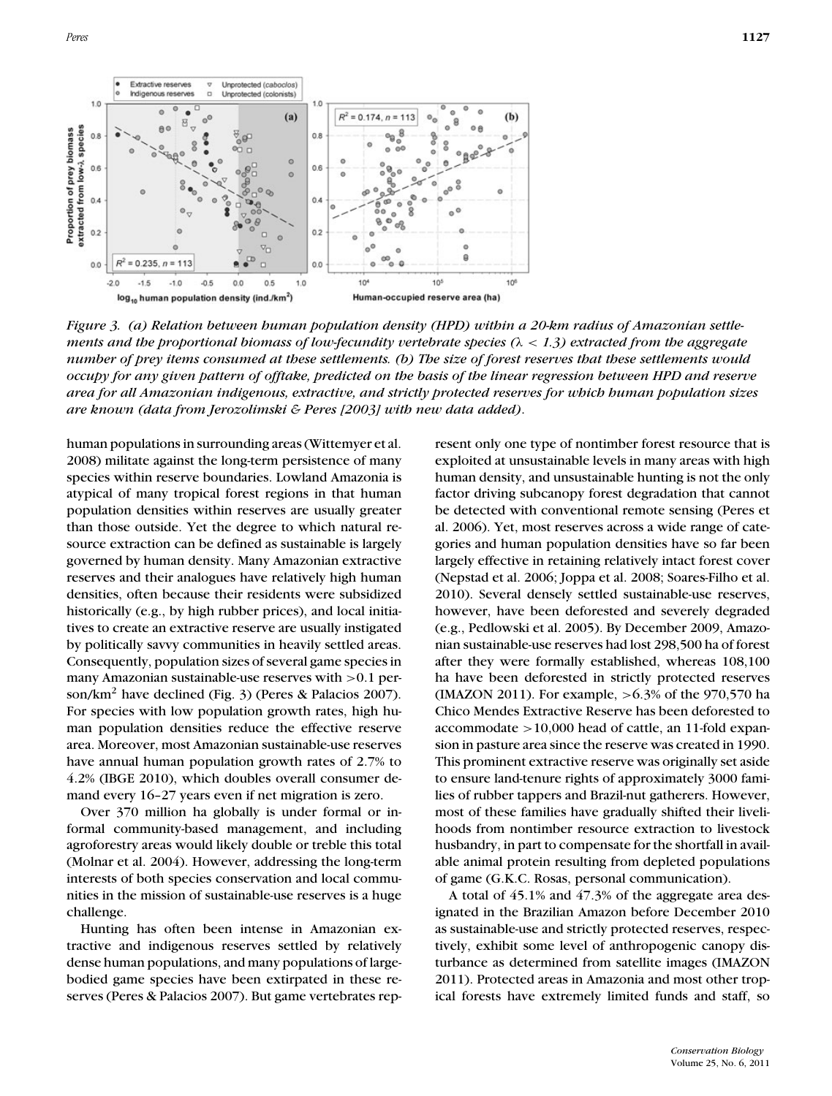

*Figure 3. (a) Relation between human population density (HPD) within a 20-km radius of Amazonian settlements and the proportional biomass of low-fecundity vertebrate species (*λ < *1.3) extracted from the aggregate number of prey items consumed at these settlements. (b) The size of forest reserves that these settlements would occupy for any given pattern of offtake, predicted on the basis of the linear regression between HPD and reserve area for all Amazonian indigenous, extractive, and strictly protected reserves for which human population sizes are known (data from Jerozolimski & Peres [2003] with new data added)*.

human populations in surrounding areas (Wittemyer et al. 2008) militate against the long-term persistence of many species within reserve boundaries. Lowland Amazonia is atypical of many tropical forest regions in that human population densities within reserves are usually greater than those outside. Yet the degree to which natural resource extraction can be defined as sustainable is largely governed by human density. Many Amazonian extractive reserves and their analogues have relatively high human densities, often because their residents were subsidized historically (e.g., by high rubber prices), and local initiatives to create an extractive reserve are usually instigated by politically savvy communities in heavily settled areas. Consequently, population sizes of several game species in many Amazonian sustainable-use reserves with  $>0.1$  person/km<sup>2</sup> have declined (Fig. 3) (Peres & Palacios 2007). For species with low population growth rates, high human population densities reduce the effective reserve area. Moreover, most Amazonian sustainable-use reserves have annual human population growth rates of 2.7% to 4.2% (IBGE 2010), which doubles overall consumer demand every 16–27 years even if net migration is zero.

Over 370 million ha globally is under formal or informal community-based management, and including agroforestry areas would likely double or treble this total (Molnar et al. 2004). However, addressing the long-term interests of both species conservation and local communities in the mission of sustainable-use reserves is a huge challenge.

Hunting has often been intense in Amazonian extractive and indigenous reserves settled by relatively dense human populations, and many populations of largebodied game species have been extirpated in these reserves (Peres & Palacios 2007). But game vertebrates represent only one type of nontimber forest resource that is exploited at unsustainable levels in many areas with high human density, and unsustainable hunting is not the only factor driving subcanopy forest degradation that cannot be detected with conventional remote sensing (Peres et al. 2006). Yet, most reserves across a wide range of categories and human population densities have so far been largely effective in retaining relatively intact forest cover (Nepstad et al. 2006; Joppa et al. 2008; Soares-Filho et al. 2010). Several densely settled sustainable-use reserves, however, have been deforested and severely degraded (e.g., Pedlowski et al. 2005). By December 2009, Amazonian sustainable-use reserves had lost 298,500 ha of forest after they were formally established, whereas 108,100 ha have been deforested in strictly protected reserves (IMAZON 2011). For example, >6.3% of the 970,570 ha Chico Mendes Extractive Reserve has been deforested to accommodate >10,000 head of cattle, an 11-fold expansion in pasture area since the reserve was created in 1990. This prominent extractive reserve was originally set aside to ensure land-tenure rights of approximately 3000 families of rubber tappers and Brazil-nut gatherers. However, most of these families have gradually shifted their livelihoods from nontimber resource extraction to livestock husbandry, in part to compensate for the shortfall in available animal protein resulting from depleted populations of game (G.K.C. Rosas, personal communication).

A total of 45.1% and 47.3% of the aggregate area designated in the Brazilian Amazon before December 2010 as sustainable-use and strictly protected reserves, respectively, exhibit some level of anthropogenic canopy disturbance as determined from satellite images (IMAZON 2011). Protected areas in Amazonia and most other tropical forests have extremely limited funds and staff, so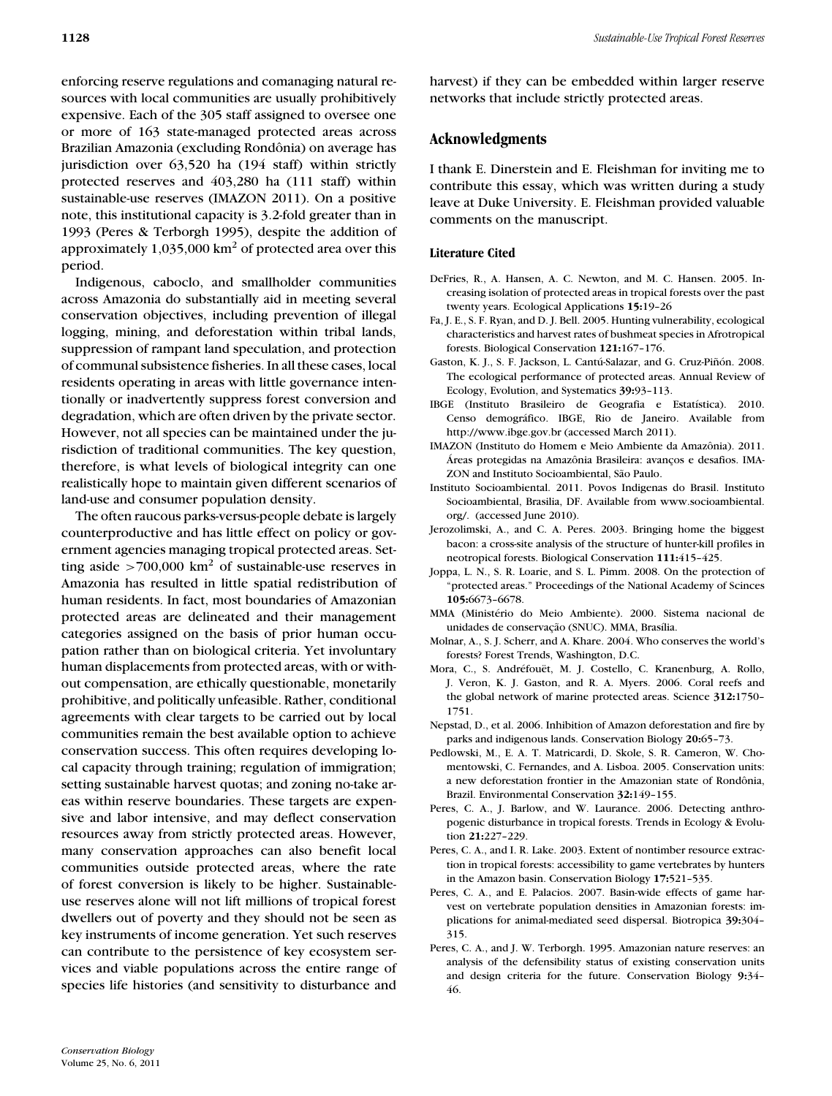enforcing reserve regulations and comanaging natural resources with local communities are usually prohibitively expensive. Each of the 305 staff assigned to oversee one or more of 163 state-managed protected areas across Brazilian Amazonia (excluding Rondônia) on average has jurisdiction over 63,520 ha (194 staff) within strictly protected reserves and 403,280 ha (111 staff) within sustainable-use reserves (IMAZON 2011). On a positive note, this institutional capacity is 3.2-fold greater than in 1993 (Peres & Terborgh 1995), despite the addition of approximately  $1,035,000 \text{ km}^2$  of protected area over this period.

Indigenous, caboclo, and smallholder communities across Amazonia do substantially aid in meeting several conservation objectives, including prevention of illegal logging, mining, and deforestation within tribal lands, suppression of rampant land speculation, and protection of communal subsistence fisheries. In all these cases, local residents operating in areas with little governance intentionally or inadvertently suppress forest conversion and degradation, which are often driven by the private sector. However, not all species can be maintained under the jurisdiction of traditional communities. The key question, therefore, is what levels of biological integrity can one realistically hope to maintain given different scenarios of land-use and consumer population density.

The often raucous parks-versus-people debate is largely counterproductive and has little effect on policy or government agencies managing tropical protected areas. Setting aside  $>700,000$  km<sup>2</sup> of sustainable-use reserves in Amazonia has resulted in little spatial redistribution of human residents. In fact, most boundaries of Amazonian protected areas are delineated and their management categories assigned on the basis of prior human occupation rather than on biological criteria. Yet involuntary human displacements from protected areas, with or without compensation, are ethically questionable, monetarily prohibitive, and politically unfeasible. Rather, conditional agreements with clear targets to be carried out by local communities remain the best available option to achieve conservation success. This often requires developing local capacity through training; regulation of immigration; setting sustainable harvest quotas; and zoning no-take areas within reserve boundaries. These targets are expensive and labor intensive, and may deflect conservation resources away from strictly protected areas. However, many conservation approaches can also benefit local communities outside protected areas, where the rate of forest conversion is likely to be higher. Sustainableuse reserves alone will not lift millions of tropical forest dwellers out of poverty and they should not be seen as key instruments of income generation. Yet such reserves can contribute to the persistence of key ecosystem services and viable populations across the entire range of species life histories (and sensitivity to disturbance and

harvest) if they can be embedded within larger reserve networks that include strictly protected areas.

#### **Acknowledgments**

I thank E. Dinerstein and E. Fleishman for inviting me to contribute this essay, which was written during a study leave at Duke University. E. Fleishman provided valuable comments on the manuscript.

#### **Literature Cited**

- DeFries, R., A. Hansen, A. C. Newton, and M. C. Hansen. 2005. Increasing isolation of protected areas in tropical forests over the past twenty years. Ecological Applications **15:**19–26
- Fa, J. E., S. F. Ryan, and D. J. Bell. 2005. Hunting vulnerability, ecological characteristics and harvest rates of bushmeat species in Afrotropical forests. Biological Conservation **121:**167–176.
- Gaston, K. J., S. F. Jackson, L. Cantú-Salazar, and G. Cruz-Piñón. 2008. The ecological performance of protected areas. Annual Review of Ecology, Evolution, and Systematics **39:**93–113.
- IBGE (Instituto Brasileiro de Geografia e Estatística). 2010. Censo demográfico. IBGE, Rio de Janeiro. Available from http://www.ibge.gov.br (accessed March 2011).
- IMAZON (Instituto do Homem e Meio Ambiente da Amazônia). 2011. Áreas protegidas na Amazônia Brasileira: avanços e desafios. IMA-ZON and Instituto Socioambiental, São Paulo.
- Instituto Socioambiental. 2011. Povos Indigenas do Brasil. Instituto Socioambiental, Brasilia, DF. Available from www.socioambiental. org/. (accessed June 2010).
- Jerozolimski, A., and C. A. Peres. 2003. Bringing home the biggest bacon: a cross-site analysis of the structure of hunter-kill profiles in neotropical forests. Biological Conservation **111:**415–425.
- Joppa, L. N., S. R. Loarie, and S. L. Pimm. 2008. On the protection of "protected areas." Proceedings of the National Academy of Scinces **105:**6673–6678.
- MMA (Ministério do Meio Ambiente). 2000. Sistema nacional de unidades de conservação (SNUC). MMA, Brasília.
- Molnar, A., S. J. Scherr, and A. Khare. 2004. Who conserves the world's forests? Forest Trends, Washington, D.C.
- Mora, C., S. Andréfouët, M. J. Costello, C. Kranenburg, A. Rollo, J. Veron, K. J. Gaston, and R. A. Myers. 2006. Coral reefs and the global network of marine protected areas. Science **312:**1750– 1751.
- Nepstad, D., et al. 2006. Inhibition of Amazon deforestation and fire by parks and indigenous lands. Conservation Biology **20:**65–73.
- Pedlowski, M., E. A. T. Matricardi, D. Skole, S. R. Cameron, W. Chomentowski, C. Fernandes, and A. Lisboa. 2005. Conservation units: a new deforestation frontier in the Amazonian state of Rondônia, Brazil. Environmental Conservation **32:**149–155.
- Peres, C. A., J. Barlow, and W. Laurance. 2006. Detecting anthropogenic disturbance in tropical forests. Trends in Ecology & Evolution **21:**227–229.
- Peres, C. A., and I. R. Lake. 2003. Extent of nontimber resource extraction in tropical forests: accessibility to game vertebrates by hunters in the Amazon basin. Conservation Biology **17:**521–535.
- Peres, C. A., and E. Palacios. 2007. Basin-wide effects of game harvest on vertebrate population densities in Amazonian forests: implications for animal-mediated seed dispersal. Biotropica **39:**304– 315.
- Peres, C. A., and J. W. Terborgh. 1995. Amazonian nature reserves: an analysis of the defensibility status of existing conservation units and design criteria for the future. Conservation Biology **9:**34– 46.